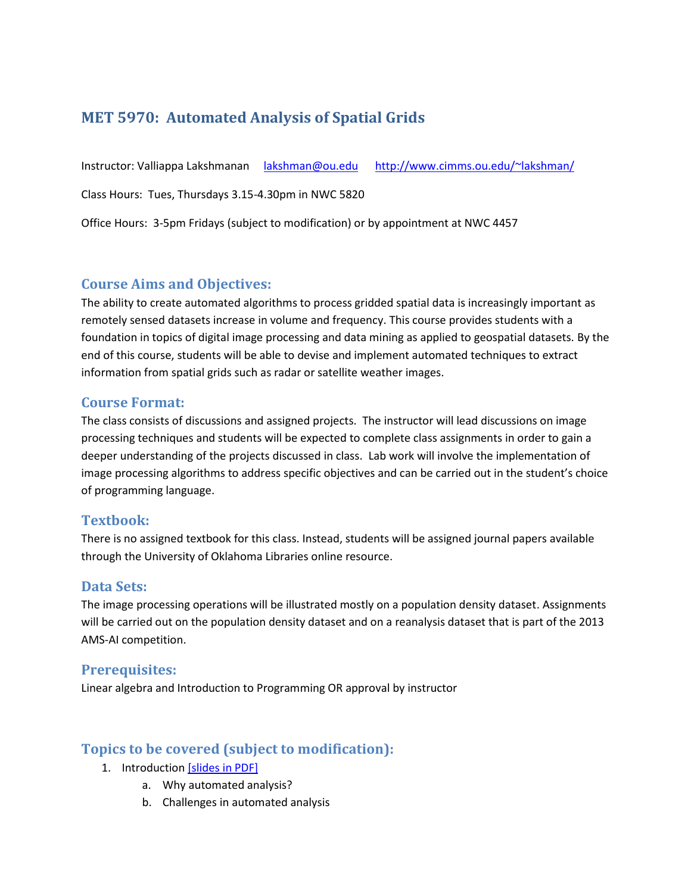# **MET 5970: Automated Analysis of Spatial Grids**

Instructor: Valliappa Lakshmanan [lakshman@ou.edu](mailto:lakshman@ou.edu) <http://www.cimms.ou.edu/~lakshman/>

Class Hours: Tues, Thursdays 3.15-4.30pm in NWC 5820

Office Hours: 3-5pm Fridays (subject to modification) or by appointment at NWC 4457

### **Course Aims and Objectives:**

The ability to create automated algorithms to process gridded spatial data is increasingly important as remotely sensed datasets increase in volume and frequency. This course provides students with a foundation in topics of digital image processing and data mining as applied to geospatial datasets. By the end of this course, students will be able to devise and implement automated techniques to extract information from spatial grids such as radar or satellite weather images.

#### **Course Format:**

The class consists of discussions and assigned projects. The instructor will lead discussions on image processing techniques and students will be expected to complete class assignments in order to gain a deeper understanding of the projects discussed in class. Lab work will involve the implementation of image processing algorithms to address specific objectives and can be carried out in the student's choice of programming language.

## **Textbook:**

There is no assigned textbook for this class. Instead, students will be assigned journal papers available through the University of Oklahoma Libraries online resource.

#### **Data Sets:**

The image processing operations will be illustrated mostly on a population density dataset. Assignments will be carried out on the population density dataset and on a reanalysis dataset that is part of the 2013 AMS-AI competition.

#### **Prerequisites:**

Linear algebra and Introduction to Programming OR approval by instructor

## **Topics to be covered (subject to modification):**

- 1. Introduction [slides [in PDF\]](ch01_intro.pdf)
	- a. Why automated analysis?
	- b. Challenges in automated analysis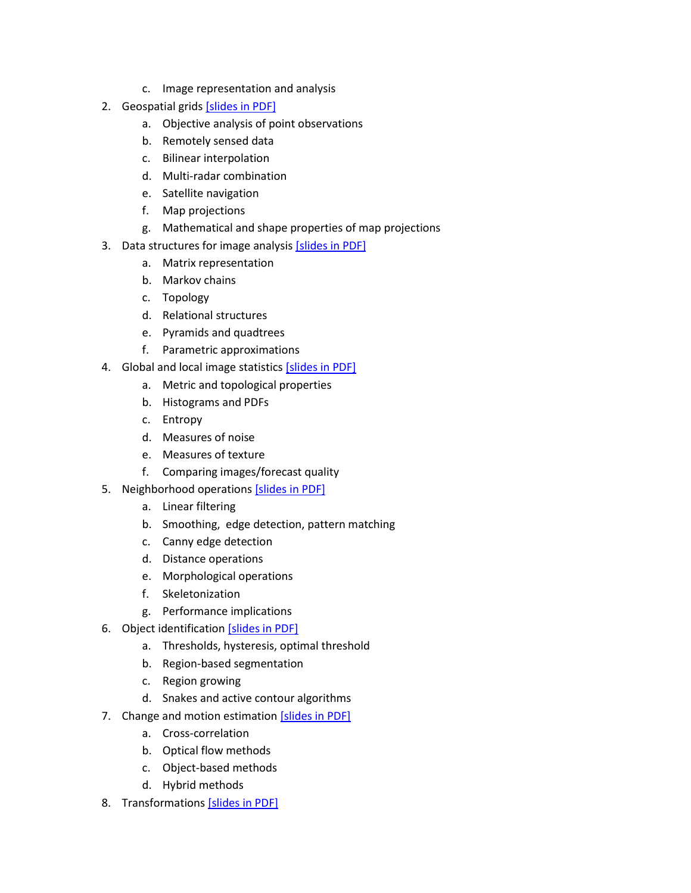- c. Image representation and analysis
- 2. Geospatial grids [slides [in PDF\]](ch02_geospatial.pdf)
	- a. Objective analysis of point observations
	- b. Remotely sensed data
	- c. Bilinear interpolation
	- d. Multi-radar combination
	- e. Satellite navigation
	- f. Map projections
	- g. Mathematical and shape properties of map projections
- 3. Data structures for image analysis [slides [in PDF\]](ch03_datastructures.pdf)
	- a. Matrix representation
	- b. Markov chains
	- c. Topology
	- d. Relational structures
	- e. Pyramids and quadtrees
	- f. Parametric approximations
- 4. Global and local image statistics [\[slides in PDF\]](ch04_stats.pdf)
	- a. Metric and topological properties
	- b. Histograms and PDFs
	- c. Entropy
	- d. Measures of noise
	- e. Measures of texture
	- f. Comparing images/forecast quality
- 5. Neighborhood operations [\[slides in PDF\]](ch05_neigh.pdf)
	- a. Linear filtering
	- b. Smoothing, edge detection, pattern matching
	- c. Canny edge detection
	- d. Distance operations
	- e. Morphological operations
	- f. Skeletonization
	- g. Performance implications
- 6. Object identification [\[slides in PDF\]](ch06_objects.pdf)
	- a. Thresholds, hysteresis, optimal threshold
	- b. Region-based segmentation
	- c. Region growing
	- d. Snakes and active contour algorithms
- 7. Change and motion estimation [\[slides in PDF\]](ch07_motion.pdf)
	- a. Cross-correlation
	- b. Optical flow methods
	- c. Object-based methods
	- d. Hybrid methods
- 8. Transformations [\[slides in PDF\]](ch08_transforms.pdf)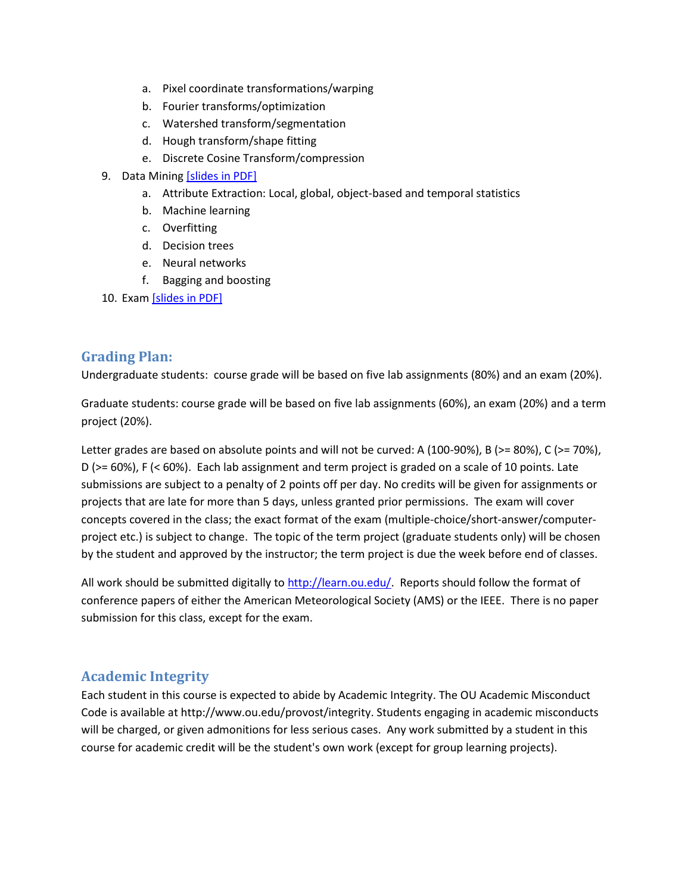- a. Pixel coordinate transformations/warping
- b. Fourier transforms/optimization
- c. Watershed transform/segmentation
- d. Hough transform/shape fitting
- e. Discrete Cosine Transform/compression
- 9. Data Mining [\[slides in PDF\]](ch09_datamining.pdf)
	- a. Attribute Extraction: Local, global, object-based and temporal statistics
	- b. Machine learning
	- c. Overfitting
	- d. Decision trees
	- e. Neural networks
	- f. Bagging and boosting
- 10. Exam [slides [in PDF\]](ch10_exam.pdf)

## **Grading Plan:**

Undergraduate students: course grade will be based on five lab assignments (80%) and an exam (20%).

Graduate students: course grade will be based on five lab assignments (60%), an exam (20%) and a term project (20%).

Letter grades are based on absolute points and will not be curved: A (100-90%), B (>= 80%), C (>= 70%), D (>= 60%), F (< 60%). Each lab assignment and term project is graded on a scale of 10 points. Late submissions are subject to a penalty of 2 points off per day. No credits will be given for assignments or projects that are late for more than 5 days, unless granted prior permissions. The exam will cover concepts covered in the class; the exact format of the exam (multiple-choice/short-answer/computerproject etc.) is subject to change. The topic of the term project (graduate students only) will be chosen by the student and approved by the instructor; the term project is due the week before end of classes.

All work should be submitted digitally to [http://learn.ou.edu/.](http://learn.ou.edu/) Reports should follow the format of conference papers of either the American Meteorological Society (AMS) or the IEEE. There is no paper submission for this class, except for the exam.

## **Academic Integrity**

Each student in this course is expected to abide by Academic Integrity. The OU Academic Misconduct Code is available at http://www.ou.edu/provost/integrity. Students engaging in academic misconducts will be charged, or given admonitions for less serious cases. Any work submitted by a student in this course for academic credit will be the student's own work (except for group learning projects).